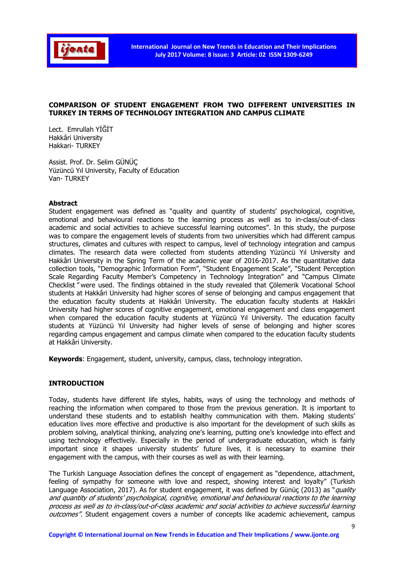

# COMPARISON OF STUDENT ENGAGEMENT FROM TWO DIFFERENT UNIVERSITIES IN TURKEY IN TERMS OF TECHNOLOGY INTEGRATION AND CAMPUS CLIMATE

Lect. Emrullah YİĞİT Hakkâri University Hakkari- TURKEY

Assist. Prof. Dr. Selim GÜNÜÇ Yüzüncü Yıl University, Faculty of Education Van- TURKEY

## Abstract

Student engagement was defined as "quality and quantity of students' psychological, cognitive, emotional and behavioural reactions to the learning process as well as to in-class/out-of-class academic and social activities to achieve successful learning outcomes". In this study, the purpose was to compare the engagement levels of students from two universities which had different campus structures, climates and cultures with respect to campus, level of technology integration and campus climates. The research data were collected from students attending Yüzüncü Yıl University and Hakkâri University in the Spring Term of the academic year of 2016-2017. As the quantitative data collection tools, "Demographic Information Form", "Student Engagement Scale", "Student Perception Scale Regarding Faculty Member's Competency in Technology Integration" and "Campus Climate Checklist" were used. The findings obtained in the study revealed that Çölemerik Vocational School students at Hakkâri University had higher scores of sense of belonging and campus engagement that the education faculty students at Hakkâri University. The education faculty students at Hakkâri University had higher scores of cognitive engagement, emotional engagement and class engagement when compared the education faculty students at Yüzüncü Yıl University. The education faculty students at Yüzüncü Yıl University had higher levels of sense of belonging and higher scores regarding campus engagement and campus climate when compared to the education faculty students at Hakkâri University.

Keywords: Engagement, student, university, campus, class, technology integration.

# INTRODUCTION

Today, students have different life styles, habits, ways of using the technology and methods of reaching the information when compared to those from the previous generation. It is important to understand these students and to establish healthy communication with them. Making students' education lives more effective and productive is also important for the development of such skills as problem solving, analytical thinking, analyzing one's learning, putting one's knowledge into effect and using technology effectively. Especially in the period of undergraduate education, which is fairly important since it shapes university students' future lives, it is necessary to examine their engagement with the campus, with their courses as well as with their learning.

The Turkish Language Association defines the concept of engagement as "dependence, attachment, feeling of sympathy for someone with love and respect, showing interest and loyalty" (Turkish Language Association, 2017). As for student engagement, it was defined by Günüç (2013) as "quality and quantity of students' psychological, cognitive, emotional and behavioural reactions to the learning process as well as to in-class/out-of-class academic and social activities to achieve successful learning outcomes". Student engagement covers a number of concepts like academic achievement, campus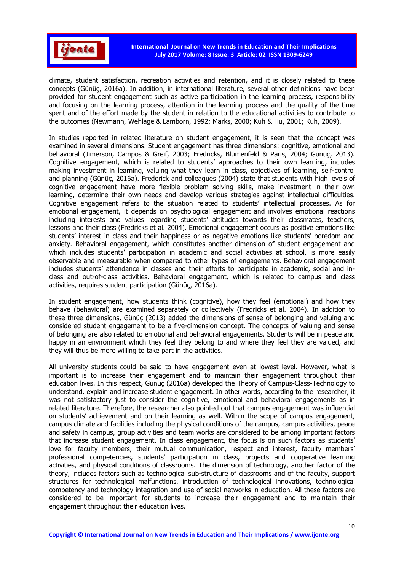

climate, student satisfaction, recreation activities and retention, and it is closely related to these concepts (Günüç, 2016a). In addition, in international literature, several other definitions have been provided for student engagement such as active participation in the learning process, responsibility and focusing on the learning process, attention in the learning process and the quality of the time spent and of the effort made by the student in relation to the educational activities to contribute to the outcomes (Newmann, Wehlage & Lamborn, 1992; Marks, 2000; Kuh & Hu, 2001; Kuh, 2009).

In studies reported in related literature on student engagement, it is seen that the concept was examined in several dimensions. Student engagement has three dimensions: cognitive, emotional and behavioral (Jimerson, Campos & Greif, 2003; Fredricks, Blumenfeld & Paris, 2004; Günüç, 2013). Cognitive engagement, which is related to students' approaches to their own learning, includes making investment in learning, valuing what they learn in class, objectives of learning, self-control and planning (Günüç, 2016a). Frederick and colleagues (2004) state that students with high levels of cognitive engagement have more flexible problem solving skills, make investment in their own learning, determine their own needs and develop various strategies against intellectual difficulties. Cognitive engagement refers to the situation related to students' intellectual processes. As for emotional engagement, it depends on psychological engagement and involves emotional reactions including interests and values regarding students' attitudes towards their classmates, teachers, lessons and their class (Fredricks et al. 2004). Emotional engagement occurs as positive emotions like students' interest in class and their happiness or as negative emotions like students' boredom and anxiety. Behavioral engagement, which constitutes another dimension of student engagement and which includes students' participation in academic and social activities at school, is more easily observable and measurable when compared to other types of engagements. Behavioral engagement includes students' attendance in classes and their efforts to participate in academic, social and inclass and out-of-class activities. Behavioral engagement, which is related to campus and class activities, requires student participation (Günüç, 2016a).

In student engagement, how students think (cognitive), how they feel (emotional) and how they behave (behavioral) are examined separately or collectively (Fredricks et al. 2004). In addition to these three dimensions, Günüç (2013) added the dimensions of sense of belonging and valuing and considered student engagement to be a five-dimension concept. The concepts of valuing and sense of belonging are also related to emotional and behavioral engagements. Students will be in peace and happy in an environment which they feel they belong to and where they feel they are valued, and they will thus be more willing to take part in the activities.

All university students could be said to have engagement even at lowest level. However, what is important is to increase their engagement and to maintain their engagement throughout their education lives. In this respect, Günüç (2016a) developed the Theory of Campus-Class-Technology to understand, explain and increase student engagement. In other words, according to the researcher, it was not satisfactory just to consider the cognitive, emotional and behavioral engagements as in related literature. Therefore, the researcher also pointed out that campus engagement was influential on students' achievement and on their learning as well. Within the scope of campus engagement, campus climate and facilities including the physical conditions of the campus, campus activities, peace and safety in campus, group activities and team works are considered to be among important factors that increase student engagement. In class engagement, the focus is on such factors as students' love for faculty members, their mutual communication, respect and interest, faculty members' professional competencies, students' participation in class, projects and cooperative learning activities, and physical conditions of classrooms. The dimension of technology, another factor of the theory, includes factors such as technological sub-structure of classrooms and of the faculty, support structures for technological malfunctions, introduction of technological innovations, technological competency and technology integration and use of social networks in education. All these factors are considered to be important for students to increase their engagement and to maintain their engagement throughout their education lives.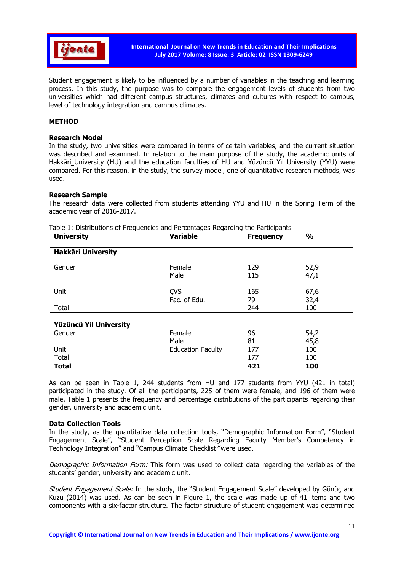

Student engagement is likely to be influenced by a number of variables in the teaching and learning process. In this study, the purpose was to compare the engagement levels of students from two universities which had different campus structures, climates and cultures with respect to campus, level of technology integration and campus climates.

### METHOD

### Research Model

In the study, two universities were compared in terms of certain variables, and the current situation was described and examined. In relation to the main purpose of the study, the academic units of Hakkâri University (HU) and the education faculties of HU and Yüzüncü Yıl University (YYU) were compared. For this reason, in the study, the survey model, one of quantitative research methods, was used.

## Research Sample

The research data were collected from students attending YYU and HU in the Spring Term of the academic year of 2016-2017.

| rable In Diodibadorio or Frequencieo ana Fercentageo Regaranty die Fardelpanto<br><b>University</b> | <b>Variable</b>            | <b>Frequency</b> | $\frac{1}{2}$ |  |
|-----------------------------------------------------------------------------------------------------|----------------------------|------------------|---------------|--|
| <b>Hakkâri University</b>                                                                           |                            |                  |               |  |
| Gender                                                                                              | Female<br>Male             | 129<br>115       | 52,9<br>47,1  |  |
| Unit                                                                                                | <b>CVS</b><br>Fac. of Edu. | 165<br>79        | 67,6<br>32,4  |  |
| Total                                                                                               |                            | 244              | 100           |  |
| Yüzüncü Yil University                                                                              |                            |                  |               |  |
| Gender                                                                                              | Female                     | 96               | 54,2          |  |
|                                                                                                     | Male                       | 81               | 45,8          |  |
| Unit                                                                                                | <b>Education Faculty</b>   | 177              | 100           |  |
| Total                                                                                               |                            | 177              | 100           |  |
| <b>Total</b>                                                                                        |                            | 421              | 100           |  |

Table 1: Distributions of Frequencies and Percentages Regarding the Participants

As can be seen in Table 1, 244 students from HU and 177 students from YYU (421 in total) participated in the study. Of all the participants, 225 of them were female, and 196 of them were male. Table 1 presents the frequency and percentage distributions of the participants regarding their gender, university and academic unit.

#### Data Collection Tools

In the study, as the quantitative data collection tools, "Demographic Information Form", "Student Engagement Scale", "Student Perception Scale Regarding Faculty Member's Competency in Technology Integration" and "Campus Climate Checklist" were used.

Demographic Information Form: This form was used to collect data regarding the variables of the students' gender, university and academic unit.

Student Engagement Scale: In the study, the "Student Engagement Scale" developed by Günüç and Kuzu (2014) was used. As can be seen in Figure 1, the scale was made up of 41 items and two components with a six-factor structure. The factor structure of student engagement was determined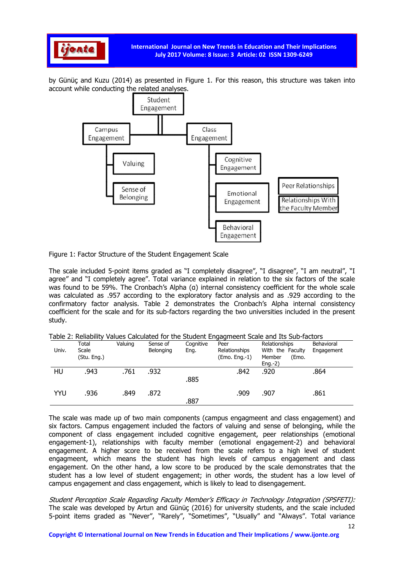

by Günüç and Kuzu (2014) as presented in Figure 1. For this reason, this structure was taken into account while conducting the related analyses.



Figure 1: Factor Structure of the Student Engagement Scale

The scale included 5-point items graded as "I completely disagree", "I disagree", "I am neutral", "I agree" and "I completely agree". Total variance explained in relation to the six factors of the scale was found to be 59%. The Cronbach's Alpha (α) internal consistency coefficient for the whole scale was calculated as .957 according to the exploratory factor analysis and as .929 according to the confirmatory factor analysis. Table 2 demonstrates the Cronbach's Alpha internal consistency coefficient for the scale and for its sub-factors regarding the two universities included in the present study.

Table 2: Reliability Values Calculated for the Student Engagmeent Scale and Its Sub-factors

| .     |             |         |           |           |               |                  |            |
|-------|-------------|---------|-----------|-----------|---------------|------------------|------------|
|       | Total       | Valuing | Sense of  | Cognitive | Peer          | Relationships    | Behavioral |
| Univ. | Scale       |         | Belonging | Eng.      | Relationships | With the Faculty | Engagement |
|       | (Stu. Eng.) |         |           |           | (Emo. Eng.-1) | Member<br>(Emo.  |            |
|       |             |         |           |           |               | $Eng.-2)$        |            |
| HU    | .943        | .761    | .932      |           | .842          | .920             | .864       |
|       |             |         |           | .885      |               |                  |            |
|       |             |         |           |           |               |                  |            |
| YYU   | .936        | .849    | .872      |           | .909          | .907             | .861       |
|       |             |         |           |           |               |                  |            |
|       |             |         |           | .887      |               |                  |            |

The scale was made up of two main components (campus engagmeent and class engagement) and six factors. Campus engagement included the factors of valuing and sense of belonging, while the component of class engagement included cognitive engagement, peer relationships (emotional engagement-1), relationships with faculty member (emotional engagement-2) and behavioral engagement. A higher score to be received from the scale refers to a high level of student engagmeent, which means the student has high levels of campus engagement and class engagement. On the other hand, a low score to be produced by the scale demonstrates that the student has a low level of student engagement; in other words, the student has a low level of campus engagement and class engagement, which is likely to lead to disengagement.

Student Perception Scale Regarding Faculty Member's Efficacy in Technology Integration (SPSFETI): The scale was developed by Artun and Günüç (2016) for university students, and the scale included 5-point items graded as "Never", "Rarely", "Sometimes", "Usually" and "Always". Total variance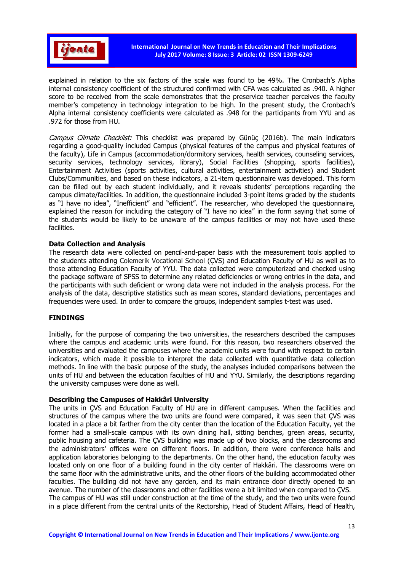

explained in relation to the six factors of the scale was found to be 49%. The Cronbach's Alpha internal consistency coefficient of the structured confirmed with CFA was calculated as .940. A higher score to be received from the scale demonstrates that the preservice teacher perceives the faculty member's competency in technology integration to be high. In the present study, the Cronbach's Alpha internal consistency coefficients were calculated as .948 for the participants from YYU and as .972 for those from HU.

Campus Climate Checklist: This checklist was prepared by Günüc (2016b). The main indicators regarding a good-quality included Campus (physical features of the campus and physical features of the faculty), Life in Campus (accommodation/dormitory services, health services, counseling services, security services, technology services, library), Social Facilities (shopping, sports facilities), Entertainment Activities (sports activities, cultural activities, entertainment activities) and Student Clubs/Communities, and based on these indicators, a 21-item questionnaire was developed. This form can be filled out by each student individually, and it reveals students' perceptions regarding the campus climate/facilities. In addition, the questionnaire included 3-point items graded by the students as "I have no idea", "Inefficient" and "efficient". The researcher, who developed the questionnaire, explained the reason for including the category of "I have no idea" in the form saying that some of the students would be likely to be unaware of the campus facilities or may not have used these facilities.

## Data Collection and Analysis

The research data were collected on pencil-and-paper basis with the measurement tools applied to the students attending Colemerik Vocational School (ÇVS) and Education Faculty of HU as well as to those attending Education Faculty of YYU. The data collected were computerized and checked using the package software of SPSS to determine any related deficiencies or wrong entries in the data, and the participants with such deficient or wrong data were not included in the analysis process. For the analysis of the data, descriptive statistics such as mean scores, standard deviations, percentages and frequencies were used. In order to compare the groups, independent samples t-test was used.

#### FINDINGS

Initially, for the purpose of comparing the two universities, the researchers described the campuses where the campus and academic units were found. For this reason, two researchers observed the universities and evaluated the campuses where the academic units were found with respect to certain indicators, which made it possible to interpret the data collected with quantitative data collection methods. In line with the basic purpose of the study, the analyses included comparisons between the units of HU and between the education faculties of HU and YYU. Similarly, the descriptions regarding the university campuses were done as well.

#### Describing the Campuses of Hakkâri University

The units in ÇVS and Education Faculty of HU are in different campuses. When the facilities and structures of the campus where the two units are found were compared, it was seen that ÇVS was located in a place a bit farther from the city center than the location of the Education Faculty, yet the former had a small-scale campus with its own dining hall, sitting benches, green areas, security, public housing and cafeteria. The ÇVS building was made up of two blocks, and the classrooms and the administrators' offices were on different floors. In addition, there were conference halls and application laboratories belonging to the departments. On the other hand, the education faculty was located only on one floor of a building found in the city center of Hakkâri. The classrooms were on the same floor with the administrative units, and the other floors of the building accommodated other faculties. The building did not have any garden, and its main entrance door directly opened to an avenue. The number of the classrooms and other facilities were a bit limited when compared to ÇVS. The campus of HU was still under construction at the time of the study, and the two units were found in a place different from the central units of the Rectorship, Head of Student Affairs, Head of Health,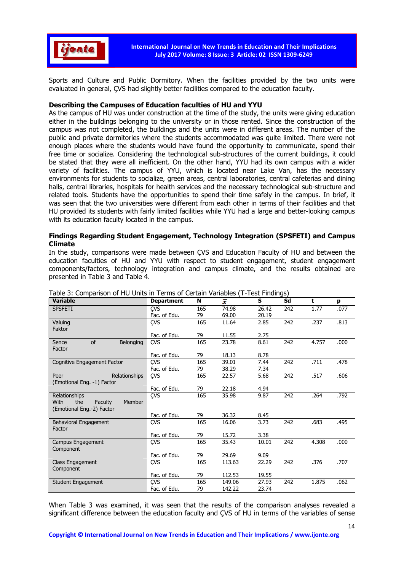

Sports and Culture and Public Dormitory. When the facilities provided by the two units were evaluated in general, ÇVS had slightly better facilities compared to the education faculty.

## Describing the Campuses of Education faculties of HU and YYU

As the campus of HU was under construction at the time of the study, the units were giving education either in the buildings belonging to the university or in those rented. Since the construction of the campus was not completed, the buildings and the units were in different areas. The number of the public and private dormitories where the students accommodated was quite limited. There were not enough places where the students would have found the opportunity to communicate, spend their free time or socialize. Considering the technological sub-structures of the current buildings, it could be stated that they were all inefficient. On the other hand, YYU had its own campus with a wider variety of facilities. The campus of YYU, which is located near Lake Van, has the necessary environments for students to socialize, green areas, central laboratories, central cafeterias and dining halls, central libraries, hospitals for health services and the necessary technological sub-structure and related tools. Students have the opportunities to spend their time safely in the campus. In brief, it was seen that the two universities were different from each other in terms of their facilities and that HU provided its students with fairly limited facilities while YYU had a large and better-looking campus with its education faculty located in the campus.

## Findings Regarding Student Engagement, Technology Integration (SPSFETI) and Campus Climate

In the study, comparisons were made between ÇVS and Education Faculty of HU and between the education faculties of HU and YYU with respect to student engagement, student engagement components/factors, technology integration and campus climate, and the results obtained are presented in Table 3 and Table 4.

|                                  | Table 3: Comparison of HU Units in Terms of Certain Variables (T-Test Findings) |     |        |       |     |       |      |
|----------------------------------|---------------------------------------------------------------------------------|-----|--------|-------|-----|-------|------|
| <b>Variable</b>                  | <b>Department</b>                                                               | N   | x      | S     | Sd  | t     | p    |
| <b>SPSFETI</b>                   | <b>CVS</b>                                                                      | 165 | 74.98  | 26.42 | 242 | 1.77  | .077 |
|                                  | Fac. of Edu.                                                                    | 79  | 69.00  | 20.19 |     |       |      |
| Valuing                          | ÇVS                                                                             | 165 | 11.64  | 2.85  | 242 | .237  | .813 |
| Faktor                           |                                                                                 |     |        |       |     |       |      |
|                                  | Fac. of Edu.                                                                    | 79  | 11.55  | 2.75  |     |       |      |
| of<br>Belonging<br>Sence         | ÇVS                                                                             | 165 | 23.78  | 8.61  | 242 | 4.757 | .000 |
| Factor                           |                                                                                 |     |        |       |     |       |      |
|                                  | Fac. of Edu.                                                                    | 79  | 18.13  | 8.78  |     |       |      |
| Cognitive Engagement Factor      | CVS                                                                             | 165 | 39.01  | 7.44  | 242 | .711  | .478 |
|                                  | Fac. of Edu.                                                                    | 79  | 38.29  | 7.34  |     |       |      |
| Relationships<br>Peer            | ÇVS                                                                             | 165 | 22.57  | 5.68  | 242 | .517  | .606 |
| (Emotional Eng. -1) Factor       |                                                                                 |     |        |       |     |       |      |
|                                  | Fac. of Edu.                                                                    | 79  | 22.18  | 4.94  |     |       |      |
| Relationships                    | ÇVS                                                                             | 165 | 35.98  | 9.87  | 242 | .264  | .792 |
| With<br>the<br>Member<br>Faculty |                                                                                 |     |        |       |     |       |      |
| (Emotional Eng.-2) Factor        |                                                                                 |     |        |       |     |       |      |
|                                  | Fac. of Edu.                                                                    | 79  | 36.32  | 8.45  |     |       |      |
| Behavioral Engagement            | <b>CVS</b>                                                                      | 165 | 16.06  | 3.73  | 242 | .683  | .495 |
| Factor                           |                                                                                 |     |        |       |     |       |      |
|                                  | Fac. of Edu.                                                                    | 79  | 15.72  | 3.38  |     |       |      |
| Campus Engagement                | <b>CVS</b>                                                                      | 165 | 35.43  | 10.01 | 242 | 4.308 | .000 |
| Component                        |                                                                                 |     |        |       |     |       |      |
|                                  | Fac. of Edu.                                                                    | 79  | 29.69  | 9.09  |     |       |      |
| Class Engagement                 | ÇVS                                                                             | 165 | 113.63 | 22.29 | 242 | .376  | .707 |
| Component                        |                                                                                 |     |        |       |     |       |      |
|                                  | Fac. of Edu.                                                                    | 79  | 112.53 | 19.55 |     |       |      |
| <b>Student Engagement</b>        | <b>CVS</b>                                                                      | 165 | 149.06 | 27.93 | 242 | 1.875 | .062 |
|                                  | Fac. of Edu.                                                                    | 79  | 142.22 | 23.74 |     |       |      |

Table 3: Comparison of HU Units in Terms of Certain Variables (T-Test Findings)

When Table 3 was examined, it was seen that the results of the comparison analyses revealed a significant difference between the education faculty and ÇVS of HU in terms of the variables of sense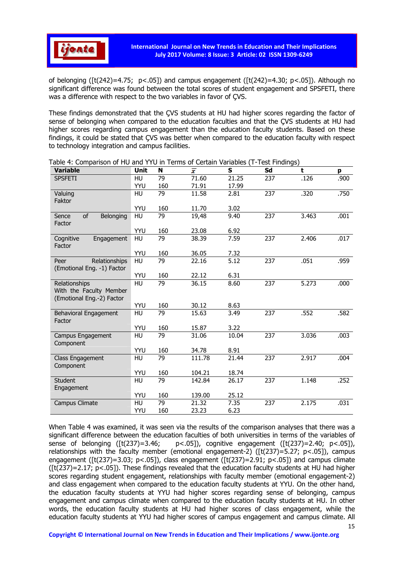

of belonging ( $[t(242)=4.75; p<.05]$ ) and campus engagement ( $[t(242)=4.30; p<.05]$ ). Although no significant difference was found between the total scores of student engagement and SPSFETI, there was a difference with respect to the two variables in favor of ÇVS.

These findings demonstrated that the ÇVS students at HU had higher scores regarding the factor of sense of belonging when compared to the education faculties and that the ÇVS students at HU had higher scores regarding campus engagement than the education faculty students. Based on these findings, it could be stated that ÇVS was better when compared to the education faculty with respect to technology integration and campus facilities.

| Variable                   | Unit      | N   | Ŧ      | s     | Sd  | t     | p    |
|----------------------------|-----------|-----|--------|-------|-----|-------|------|
| <b>SPSFETI</b>             | HU        | 79  | 71.60  | 21.25 | 237 | .126  | .900 |
|                            | YYU       | 160 | 71.91  | 17.99 |     |       |      |
| Valuing                    | HU        | 79  | 11.58  | 2.81  | 237 | .320  | .750 |
| Faktor                     |           |     |        |       |     |       |      |
|                            | YYU       | 160 | 11.70  | 3.02  |     |       |      |
| of<br>Belonging<br>Sence   | HU        | 79  | 19,48  | 9.40  | 237 | 3.463 | .001 |
| Factor                     |           |     |        |       |     |       |      |
|                            | YYU       | 160 | 23.08  | 6.92  |     |       |      |
| Cognitive<br>Engagement    | HU        | 79  | 38.39  | 7.59  | 237 | 2.406 | .017 |
| Factor                     |           |     |        |       |     |       |      |
|                            | YYU       | 160 | 36.05  | 7.32  |     |       |      |
| Relationships<br>Peer      | <b>HU</b> | 79  | 22.16  | 5.12  | 237 | .051  | .959 |
| (Emotional Eng. -1) Factor |           |     |        |       |     |       |      |
|                            | YYU       | 160 | 22.12  | 6.31  |     |       |      |
| Relationships              | HU        | 79  | 36.15  | 8.60  | 237 | 5.273 | .000 |
| With the Faculty Member    |           |     |        |       |     |       |      |
| (Emotional Eng.-2) Factor  |           |     |        |       |     |       |      |
|                            | YYU       | 160 | 30.12  | 8.63  |     |       |      |
| Behavioral Engagement      | HU        | 79  | 15.63  | 3.49  | 237 | .552  | .582 |
| Factor                     |           |     |        |       |     |       |      |
|                            | YYU       | 160 | 15.87  | 3.22  |     |       |      |
| Campus Engagement          | HU        | 79  | 31.06  | 10.04 | 237 | 3.036 | .003 |
| Component                  |           |     |        |       |     |       |      |
|                            | YYU       | 160 | 34.78  | 8.91  |     |       |      |
| Class Engagement           | HU        | 79  | 111.78 | 21.44 | 237 | 2.917 | .004 |
| Component                  |           |     |        |       |     |       |      |
|                            | YYU       | 160 | 104.21 | 18.74 |     |       |      |
| <b>Student</b>             | HU        | 79  | 142.84 | 26.17 | 237 | 1.148 | .252 |
| Engagement                 |           |     |        |       |     |       |      |
|                            | YYU       | 160 | 139.00 | 25.12 |     |       |      |
| Campus Climate             | HU        | 79  | 21.32  | 7.35  | 237 | 2.175 | .031 |
|                            | YYU       | 160 | 23.23  | 6.23  |     |       |      |

Table 4: Comparison of HU and YYU in Terms of Certain Variables (T-Test Findings)

When Table 4 was examined, it was seen via the results of the comparison analyses that there was a significant difference between the education faculties of both universities in terms of the variables of sense of belonging  $([t(237)=3.46; p<.05])$ , cognitive engagement  $([t(237)=2.40; p<.05])$ , relationships with the faculty member (emotional engagement-2) ([t(237)=5.27; p<.05]), campus engagement ( $[t(237)=3.03; p<0.05]$ ), class engagement ( $[t(237)=2.91; p<0.05]$ ) and campus climate  $(f(t(237)=2.17; p<05])$ . These findings revealed that the education faculty students at HU had higher scores regarding student engagement, relationships with faculty member (emotional engagement-2) and class engagement when compared to the education faculty students at YYU. On the other hand, the education faculty students at YYU had higher scores regarding sense of belonging, campus engagement and campus climate when compared to the education faculty students at HU. In other words, the education faculty students at HU had higher scores of class engagement, while the education faculty students at YYU had higher scores of campus engagement and campus climate. All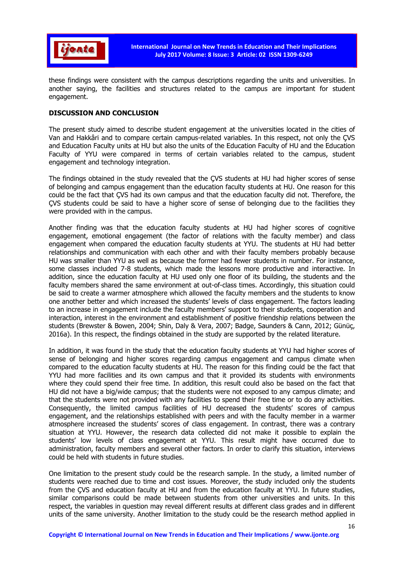

these findings were consistent with the campus descriptions regarding the units and universities. In another saying, the facilities and structures related to the campus are important for student engagement.

### DISCUSSION AND CONCLUSION

The present study aimed to describe student engagement at the universities located in the cities of Van and Hakkâri and to compare certain campus-related variables. In this respect, not only the ÇVS and Education Faculty units at HU but also the units of the Education Faculty of HU and the Education Faculty of YYU were compared in terms of certain variables related to the campus, student engagement and technology integration.

The findings obtained in the study revealed that the ÇVS students at HU had higher scores of sense of belonging and campus engagement than the education faculty students at HU. One reason for this could be the fact that ÇVS had its own campus and that the education faculty did not. Therefore, the ÇVS students could be said to have a higher score of sense of belonging due to the facilities they were provided with in the campus.

Another finding was that the education faculty students at HU had higher scores of cognitive engagement, emotional engagement (the factor of relations with the faculty member) and class engagement when compared the education faculty students at YYU. The students at HU had better relationships and communication with each other and with their faculty members probably because HU was smaller than YYU as well as because the former had fewer students in number. For instance, some classes included 7-8 students, which made the lessons more productive and interactive. In addition, since the education faculty at HU used only one floor of its building, the students and the faculty members shared the same environment at out-of-class times. Accordingly, this situation could be said to create a warmer atmosphere which allowed the faculty members and the students to know one another better and which increased the students' levels of class engagement. The factors leading to an increase in engagement include the faculty members' support to their students, cooperation and interaction, interest in the environment and establishment of positive friendship relations between the students (Brewster & Bowen, 2004; Shin, Daly & Vera, 2007; Badge, Saunders & Cann, 2012; Günüç, 2016a). In this respect, the findings obtained in the study are supported by the related literature.

In addition, it was found in the study that the education faculty students at YYU had higher scores of sense of belonging and higher scores regarding campus engagement and campus climate when compared to the education faculty students at HU. The reason for this finding could be the fact that YYU had more facilities and its own campus and that it provided its students with environments where they could spend their free time. In addition, this result could also be based on the fact that HU did not have a big/wide campus; that the students were not exposed to any campus climate; and that the students were not provided with any facilities to spend their free time or to do any activities. Consequently, the limited campus facilities of HU decreased the students' scores of campus engagement, and the relationships established with peers and with the faculty member in a warmer atmosphere increased the students' scores of class engagement. In contrast, there was a contrary situation at YYU. However, the research data collected did not make it possible to explain the students' low levels of class engagement at YYU. This result might have occurred due to administration, faculty members and several other factors. In order to clarify this situation, interviews could be held with students in future studies.

One limitation to the present study could be the research sample. In the study, a limited number of students were reached due to time and cost issues. Moreover, the study included only the students from the ÇVS and education faculty at HU and from the education faculty at YYU. In future studies, similar comparisons could be made between students from other universities and units. In this respect, the variables in question may reveal different results at different class grades and in different units of the same university. Another limitation to the study could be the research method applied in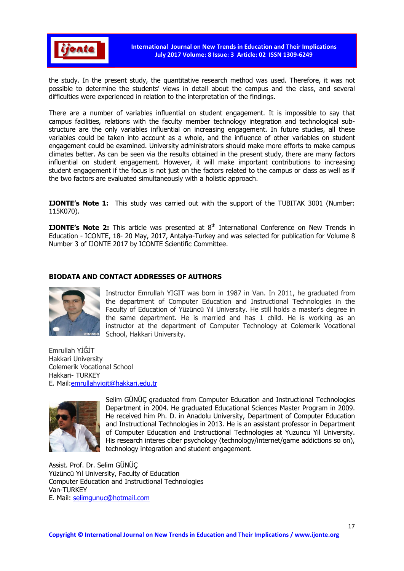

the study. In the present study, the quantitative research method was used. Therefore, it was not possible to determine the students' views in detail about the campus and the class, and several difficulties were experienced in relation to the interpretation of the findings.

There are a number of variables influential on student engagement. It is impossible to say that campus facilities, relations with the faculty member technology integration and technological substructure are the only variables influential on increasing engagement. In future studies, all these variables could be taken into account as a whole, and the influence of other variables on student engagement could be examined. University administrators should make more efforts to make campus climates better. As can be seen via the results obtained in the present study, there are many factors influential on student engagement. However, it will make important contributions to increasing student engagement if the focus is not just on the factors related to the campus or class as well as if the two factors are evaluated simultaneously with a holistic approach.

**IJONTE's Note 1:** This study was carried out with the support of the TUBITAK 3001 (Number: 115K070).

**IJONTE's Note 2:** This article was presented at  $8<sup>th</sup>$  International Conference on New Trends in Education - ICONTE, 18- 20 May, 2017, Antalya-Turkey and was selected for publication for Volume 8 Number 3 of IJONTE 2017 by ICONTE Scientific Committee.

# BIODATA AND CONTACT ADDRESSES OF AUTHORS



Instructor Emrullah YIGIT was born in 1987 in Van. In 2011, he graduated from the department of Computer Education and Instructional Technologies in the Faculty of Education of Yüzüncü Yıl University. He still holds a master's degree in the same department. He is married and has 1 child. He is working as an instructor at the department of Computer Technology at Colemerik Vocational School, Hakkari University.

Emrullah YİĞİT Hakkari University Colemerik Vocational School Hakkari- TURKEY E. Mail:emrullahyigit@hakkari.edu.tr



Selim GÜNÜÇ graduated from Computer Education and Instructional Technologies Department in 2004. He graduated Educational Sciences Master Program in 2009. He received him Ph. D. in Anadolu University, Department of Computer Education and Instructional Technologies in 2013. He is an assistant professor in Department of Computer Education and Instructional Technologies at Yuzuncu Yil University. His research interes ciber psychology (technology/internet/game addictions so on), technology integration and student engagement.

Assist. Prof. Dr. Selim GÜNÜÇ Yüzüncü Yıl University, Faculty of Education Computer Education and Instructional Technologies Van-TURKEY E. Mail: selimgunuc@hotmail.com